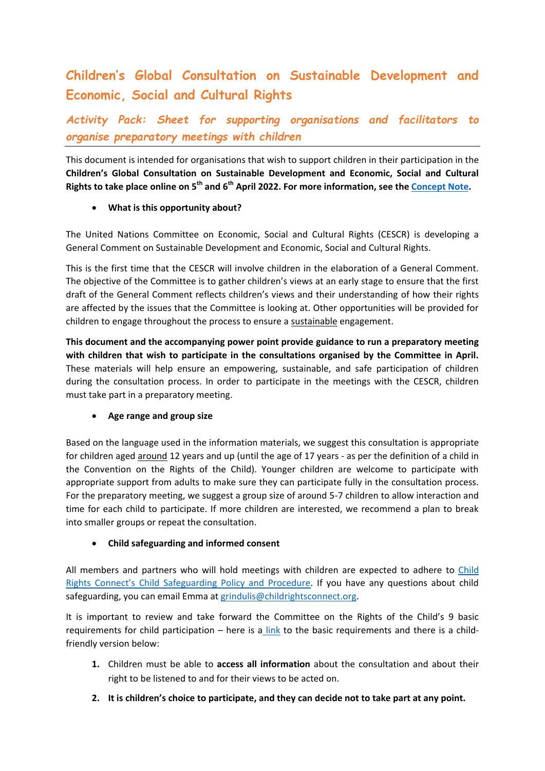# **Children's Global Consultation on Sustainable Development and Economic, Social and Cultural Rights**

*Activity Pack: Sheet for supporting organisations and facilitators to organise preparatory meetings with children*

This document is intended for organisations that wish to support children in their participation in the **Children's Global Consultation on Sustainable Development and Economic, Social and Cultural Rights to take place online on 5th and 6th April 2022. For more information, see th[e Concept Note.](https://childrightsconnect.org/wp-content/uploads/2022/02/cescr-global-consultation-concept-note.pdf)**

### **What is this opportunity about?**

The United Nations Committee on Economic, Social and Cultural Rights (CESCR) is developing a General Comment on Sustainable Development and Economic, Social and Cultural Rights.

This is the first time that the CESCR will involve children in the elaboration of a General Comment. The objective of the Committee is to gather children's views at an early stage to ensure that the first draft of the General Comment reflects children's views and their understanding of how their rights are affected by the issues that the Committee is looking at. Other opportunities will be provided for children to engage throughout the process to ensure a sustainable engagement.

**This document and the accompanying power point provide guidance to run a preparatory meeting with children that wish to participate in the consultations organised by the Committee in April.**  These materials will help ensure an empowering, sustainable, and safe participation of children during the consultation process. In order to participate in the meetings with the CESCR, children must take part in a preparatory meeting.

#### **Age range and group size**

Based on the language used in the information materials, we suggest this consultation is appropriate for children aged around 12 years and up (until the age of 17 years - as per the definition of a child in the Convention on the Rights of the Child). Younger children are welcome to participate with appropriate support from adults to make sure they can participate fully in the consultation process. For the preparatory meeting, we suggest a group size of around 5-7 children to allow interaction and time for each child to participate. If more children are interested, we recommend a plan to break into smaller groups or repeat the consultation.

## **Child safeguarding and informed consent**

All members and partners who will hold meetings with children are expected to adhere to [Child](https://www.childrightsconnect.org/wp-content/uploads/2019/11/child_safeguarding_policy_procedure_2019_final.pdf)  [Rights Connect's Child Safeguarding Policy and Procedure](https://www.childrightsconnect.org/wp-content/uploads/2019/11/child_safeguarding_policy_procedure_2019_final.pdf). If you have any questions about child safeguarding, you can email Emma at [grindulis@childrightsconnect.org.](mailto:grindulis@childrightsconnect.org)

It is important to review and take forward the Committee on the Rights of the Child's 9 basic requirements for child participation – here is a [link](https://tbinternet.ohchr.org/_layouts/15/treatybodyexternal/Download.aspx?symbolno=CRC%2fC%2fGC%2f12&Lang=en) to the basic requirements and there is a childfriendly version below:

- **1.** Children must be able to **access all information** about the consultation and about their right to be listened to and for their views to be acted on.
- **2. It is children's choice to participate, and they can decide not to take part at any point.**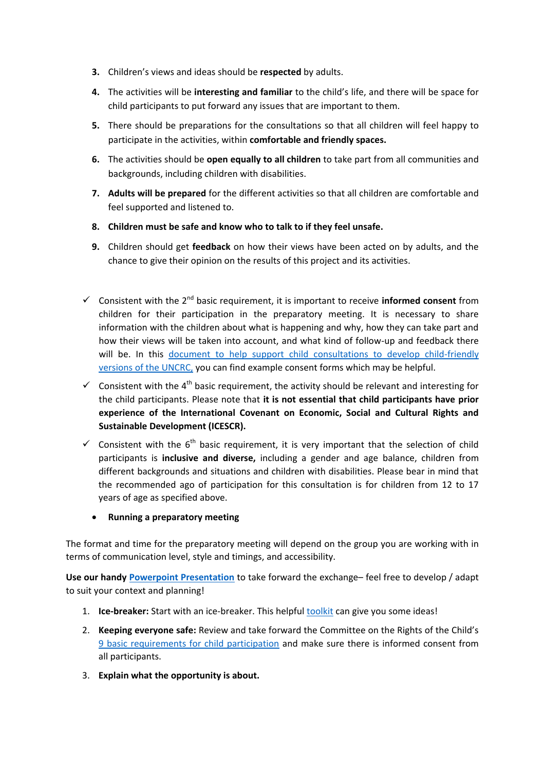- **3.** Children's views and ideas should be **respected** by adults.
- **4.** The activities will be **interesting and familiar** to the child's life, and there will be space for child participants to put forward any issues that are important to them.
- **5.** There should be preparations for the consultations so that all children will feel happy to participate in the activities, within **comfortable and friendly spaces.**
- **6.** The activities should be **open equally to all children** to take part from all communities and backgrounds, including children with disabilities.
- **7. Adults will be prepared** for the different activities so that all children are comfortable and feel supported and listened to.
- **8. Children must be safe and know who to talk to if they feel unsafe.**
- **9.** Children should get **feedback** on how their views have been acted on by adults, and the chance to give their opinion on the results of this project and its activities.
- $\checkmark$  Consistent with the 2<sup>nd</sup> basic requirement, it is important to receive **informed consent** from children for their participation in the preparatory meeting. It is necessary to share information with the children about what is happening and why, how they can take part and how their views will be taken into account, and what kind of follow-up and feedback there will be. In this document to help support child consultations to develop child-friendly [versions of the UNCRC,](https://www.childrightsconnect.org/wp-content/uploads/2019/08/cf_crc_translation_guide_final.pdf) you can find example consent forms which may be helpful.
- $\checkmark$  Consistent with the 4<sup>th</sup> basic requirement, the activity should be relevant and interesting for the child participants. Please note that **it is not essential that child participants have prior experience of the International Covenant on Economic, Social and Cultural Rights and Sustainable Development (ICESCR).**
- Consistent with the  $6<sup>th</sup>$  basic requirement, it is very important that the selection of child participants is **inclusive and diverse,** including a gender and age balance, children from different backgrounds and situations and children with disabilities. Please bear in mind that the recommended ago of participation for this consultation is for children from 12 to 17 years of age as specified above.

#### **Running a preparatory meeting**

The format and time for the preparatory meeting will depend on the group you are working with in terms of communication level, style and timings, and accessibility.

**Use our handy [Powerpoint Presentation](https://docs.google.com/presentation/d/1q8WRso-LZAXGOgF4bh5s6Lul7nXy-E-Z/edit?usp=sharing&ouid=113861858220060301590&rtpof=true&sd=true)** to take forward the exchange– feel free to develop / adapt to suit your context and planning!

- 1. **Ice-breaker:** Start with an ice-breaker. This helpful [toolkit](https://eurochild.org/uploads/2021/01/We_Are_Here_Toolbox.pdf) can give you some ideas!
- 2. **Keeping everyone safe:** Review and take forward the Committee on the Rights of the Child's [9 basic requirements for child participation](https://tbinternet.ohchr.org/_layouts/15/treatybodyexternal/Download.aspx?symbolno=CRC%2fC%2fGC%2f12&Lang=en) and make sure there is informed consent from all participants.
- 3. **Explain what the opportunity is about.**